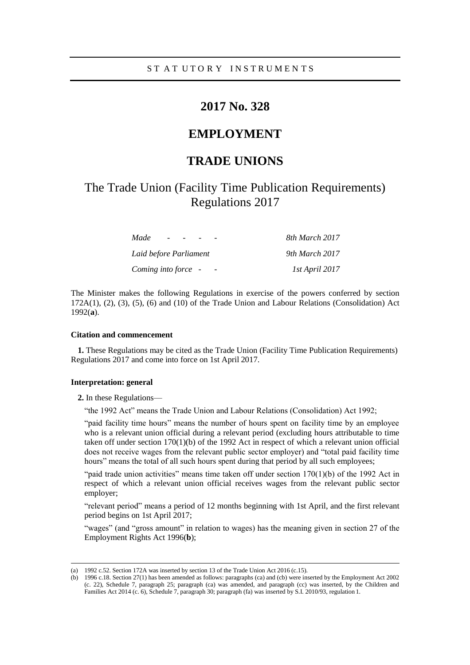# **2017 No. 328**

# **EMPLOYMENT**

# **TRADE UNIONS**

# The Trade Union (Facility Time Publication Requirements) Regulations 2017

| Made                   | 8th March 2017 |
|------------------------|----------------|
| Laid before Parliament | 9th March 2017 |
| Coming into force -    | 1st April 2017 |

The Minister makes the following Regulations in exercise of the powers conferred by section 172A(1), (2), (3), (5), (6) and (10) of the Trade Union and Labour Relations (Consolidation) Act 1992(**a**).

### **Citation and commencement**

**1.** These Regulations may be cited as the Trade Union (Facility Time Publication Requirements) Regulations 2017 and come into force on 1st April 2017.

#### **Interpretation: general**

**2.** In these Regulations—

"the 1992 Act" means the Trade Union and Labour Relations (Consolidation) Act 1992;

"paid facility time hours" means the number of hours spent on facility time by an employee who is a relevant union official during a relevant period (excluding hours attributable to time taken off under section 170(1)(b) of the 1992 Act in respect of which a relevant union official does not receive wages from the relevant public sector employer) and "total paid facility time hours" means the total of all such hours spent during that period by all such employees;

"paid trade union activities" means time taken off under section 170(1)(b) of the 1992 Act in respect of which a relevant union official receives wages from the relevant public sector employer;

"relevant period" means a period of 12 months beginning with 1st April, and the first relevant period begins on 1st April 2017;

"wages" (and "gross amount" in relation to wages) has the meaning given in section 27 of the Employment Rights Act 1996(**b**);

<sup>(</sup>a) 1992 c.52. Section 172A was inserted by section 13 of the Trade Union Act 2016 (c.15).

<sup>(</sup>b) 1996 c.18. Section 27(1) has been amended as follows: paragraphs (ca) and (cb) were inserted by the Employment Act 2002 (c. 22), Schedule 7, paragraph 25; paragraph (ca) was amended, and paragraph (cc) was inserted, by the Children and Families Act 2014 (c. 6), Schedule 7, paragraph 30; paragraph (fa) was inserted by S.I. 2010/93, regulation 1.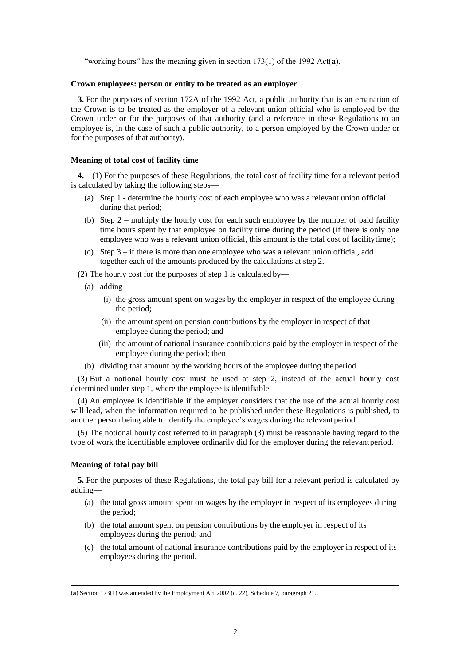"working hours" has the meaning given in section 173(1) of the 1992 Act(**a**).

#### **Crown employees: person or entity to be treated as an employer**

**3.** For the purposes of section 172A of the 1992 Act, a public authority that is an emanation of the Crown is to be treated as the employer of a relevant union official who is employed by the Crown under or for the purposes of that authority (and a reference in these Regulations to an employee is, in the case of such a public authority, to a person employed by the Crown under or for the purposes of that authority).

### **Meaning of total cost of facility time**

**4.**—(1) For the purposes of these Regulations, the total cost of facility time for a relevant period is calculated by taking the following steps—

- (a) Step 1 determine the hourly cost of each employee who was a relevant union official during that period;
- (b) Step  $2$  multiply the hourly cost for each such employee by the number of paid facility time hours spent by that employee on facility time during the period (if there is only one employee who was a relevant union official, this amount is the total cost of facilitytime);
- (c) Step 3 if there is more than one employee who was a relevant union official, add together each of the amounts produced by the calculations at step 2.
- (2) The hourly cost for the purposes of step 1 is calculated by—
	- (a) adding—
		- (i) the gross amount spent on wages by the employer in respect of the employee during the period;
		- (ii) the amount spent on pension contributions by the employer in respect of that employee during the period; and
		- (iii) the amount of national insurance contributions paid by the employer in respect of the employee during the period; then
	- (b) dividing that amount by the working hours of the employee during the period.

(3) But a notional hourly cost must be used at step 2, instead of the actual hourly cost determined under step 1, where the employee is identifiable.

(4) An employee is identifiable if the employer considers that the use of the actual hourly cost will lead, when the information required to be published under these Regulations is published, to another person being able to identify the employee's wages during the relevant period.

(5) The notional hourly cost referred to in paragraph (3) must be reasonable having regard to the type of work the identifiable employee ordinarily did for the employer during the relevantperiod.

### **Meaning of total pay bill**

**5.** For the purposes of these Regulations, the total pay bill for a relevant period is calculated by adding—

- (a) the total gross amount spent on wages by the employer in respect of its employees during the period;
- (b) the total amount spent on pension contributions by the employer in respect of its employees during the period; and
- (c) the total amount of national insurance contributions paid by the employer in respect of its employees during the period.

<sup>(</sup>**a**) Section 173(1) was amended by the Employment Act 2002 (c. 22), Schedule 7, paragraph 21.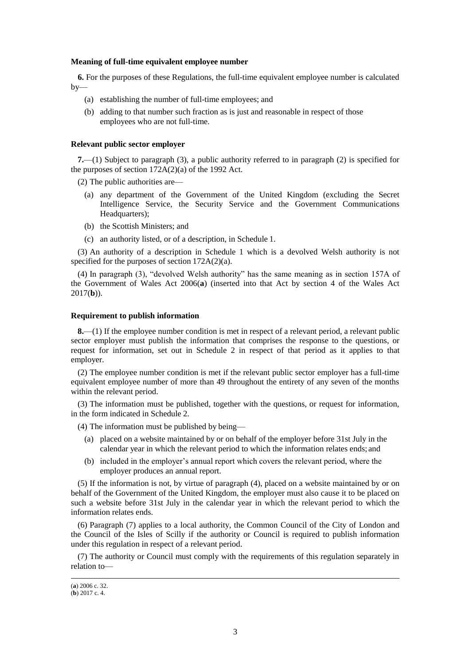#### **Meaning of full-time equivalent employee number**

**6.** For the purposes of these Regulations, the full-time equivalent employee number is calculated by—

- (a) establishing the number of full-time employees; and
- (b) adding to that number such fraction as is just and reasonable in respect of those employees who are not full-time.

#### **Relevant public sector employer**

**7.**—(1) Subject to paragraph (3), a public authority referred to in paragraph (2) is specified for the purposes of section  $172A(2)(a)$  of the 1992 Act.

(2) The public authorities are—

- (a) any department of the Government of the United Kingdom (excluding the Secret Intelligence Service, the Security Service and the Government Communications Headquarters);
- (b) the Scottish Ministers; and
- (c) an authority listed, or of a description, in Schedule 1.

(3) An authority of a description in Schedule 1 which is a devolved Welsh authority is not specified for the purposes of section 172A(2)(a).

(4) In paragraph (3), "devolved Welsh authority" has the same meaning as in section 157A of the Government of Wales Act 2006(**a**) (inserted into that Act by section 4 of the Wales Act 2017(**b**)).

### **Requirement to publish information**

**8.**—(1) If the employee number condition is met in respect of a relevant period, a relevant public sector employer must publish the information that comprises the response to the questions, or request for information, set out in Schedule 2 in respect of that period as it applies to that employer.

(2) The employee number condition is met if the relevant public sector employer has a full-time equivalent employee number of more than 49 throughout the entirety of any seven of the months within the relevant period.

(3) The information must be published, together with the questions, or request for information, in the form indicated in Schedule 2.

(4) The information must be published by being—

- (a) placed on a website maintained by or on behalf of the employer before 31st July in the calendar year in which the relevant period to which the information relates ends; and
- (b) included in the employer's annual report which covers the relevant period, where the employer produces an annual report.

(5) If the information is not, by virtue of paragraph (4), placed on a website maintained by or on behalf of the Government of the United Kingdom, the employer must also cause it to be placed on such a website before 31st July in the calendar year in which the relevant period to which the information relates ends.

(6) Paragraph (7) applies to a local authority, the Common Council of the City of London and the Council of the Isles of Scilly if the authority or Council is required to publish information under this regulation in respect of a relevant period.

(7) The authority or Council must comply with the requirements of this regulation separately in relation to—

<sup>(</sup>**a**) 2006 c. 32.

<sup>(</sup>**b**) 2017 c. 4.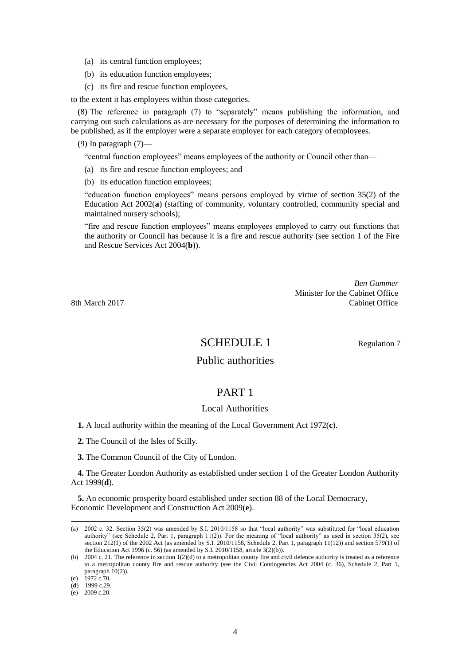- (a) its central function employees;
- (b) its education function employees;
- (c) its fire and rescue function employees,

to the extent it has employees within those categories.

(8) The reference in paragraph (7) to "separately" means publishing the information, and carrying out such calculations as are necessary for the purposes of determining the information to be published, as if the employer were a separate employer for each category of employees.

(9) In paragraph  $(7)$ —

"central function employees" means employees of the authority or Council other than—

- (a) its fire and rescue function employees; and
- (b) its education function employees;

"education function employees" means persons employed by virtue of section 35(2) of the Education Act 2002(**a**) (staffing of community, voluntary controlled, community special and maintained nursery schools);

"fire and rescue function employees" means employees employed to carry out functions that the authority or Council has because it is a fire and rescue authority (see section 1 of the Fire and Rescue Services Act 2004(**b**)).

*Ben Gummer* Minister for the Cabinet Office 8th March 2017 Cabinet Office

SCHEDULE 1 Regulation 7

## Public authorities

## PART 1

### Local Authorities

**1.** A local authority within the meaning of the Local Government Act 1972(**c**).

**2.** The Council of the Isles of Scilly.

**3.** The Common Council of the City of London.

**4.** The Greater London Authority as established under section 1 of the Greater London Authority Act 1999(**d**).

**5.** An economic prosperity board established under section 88 of the Local Democracy, Economic Development and Construction Act 2009(**e**).

<sup>(</sup>a) 2002 c. 32. Section 35(2) was amended by S.I. 2010/1158 so that "local authority" was substituted for "local education authority" (see Schedule 2, Part 1, paragraph  $11(2)$ ). For the meaning of "local authority" as used in section 35(2), see section 212(1) of the 2002 Act (as amended by S.I. 2010/1158, Schedule 2, Part 1, paragraph 11(12)) and section 579(1) of the Education Act 1996 (c. 56) (as amended by S.I. 2010/1158, article  $3(2)(b)$ ).

<sup>(</sup>b) 2004 c. 21. The reference in section 1(2)(d) to a metropolitan county fire and civil defence authority is treated as a reference to a metropolitan county fire and rescue authority (see the Civil Contingencies Act 2004 (c. 36), Schedule 2, Part 1, paragraph 10(2)).

<sup>(</sup>**c**) 1972 c.70.

<sup>(</sup>**d**) 1999 c.29.

<sup>(</sup>**e**) 2009 c.20.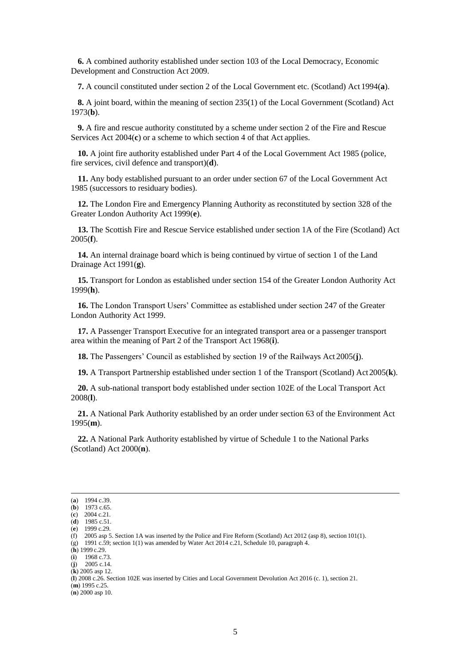**6.** A combined authority established under section 103 of the Local Democracy, Economic Development and Construction Act 2009.

**7.** A council constituted under section 2 of the Local Government etc. (Scotland) Act 1994(**a**).

**8.** A joint board, within the meaning of section 235(1) of the Local Government (Scotland) Act 1973(**b**).

**9.** A fire and rescue authority constituted by a scheme under section 2 of the Fire and Rescue Services Act 2004(**c**) or a scheme to which section 4 of that Act applies.

**10.** A joint fire authority established under Part 4 of the Local Government Act 1985 (police, fire services, civil defence and transport)(**d**).

**11.** Any body established pursuant to an order under section 67 of the Local Government Act 1985 (successors to residuary bodies).

**12.** The London Fire and Emergency Planning Authority as reconstituted by section 328 of the Greater London Authority Act 1999(**e**).

**13.** The Scottish Fire and Rescue Service established under section 1A of the Fire (Scotland) Act 2005(**f**).

**14.** An internal drainage board which is being continued by virtue of section 1 of the Land Drainage Act 1991(**g**).

**15.** Transport for London as established under section 154 of the Greater London Authority Act 1999(**h**).

**16.** The London Transport Users' Committee as established under section 247 of the Greater London Authority Act 1999.

**17.** A Passenger Transport Executive for an integrated transport area or a passenger transport area within the meaning of Part 2 of the Transport Act 1968(**i**).

**18.** The Passengers' Council as established by section 19 of the Railways Act 2005(**j**).

**19.** A Transport Partnership established under section 1 of the Transport (Scotland) Act2005(**k**).

**20.** A sub-national transport body established under section 102E of the Local Transport Act 2008(**l**).

**21.** A National Park Authority established by an order under section 63 of the Environment Act 1995(**m**).

**22.** A National Park Authority established by virtue of Schedule 1 to the National Parks (Scotland) Act 2000(**n**).

(**m**) 1995 c.25.

<sup>(</sup>**a**) 1994 c.39. (**b**) 1973 c.65.

<sup>(</sup>**c**) 2004 c.21.

<sup>(</sup>**d**) 1985 c.51.

<sup>(</sup>**e**) 1999 c.29.

<sup>(</sup>f) 2005 asp 5. Section 1A was inserted by the Police and Fire Reform (Scotland) Act 2012 (asp 8), section 101(1).

<sup>(</sup>g) 1991 c.59; section 1(1) was amended by Water Act 2014 c.21, Schedule 10, paragraph 4.  $(h)$  1999 c.29.

<sup>(</sup>**i**) 1968 c.73.

<sup>(</sup>**j**) 2005 c.14.

<sup>(</sup>**k**) 2005 asp 12.

<sup>(</sup>**l**) 2008 c.26. Section 102E was inserted by Cities and Local Government Devolution Act 2016 (c. 1), section 21.

<sup>(</sup>**n**) 2000 asp 10.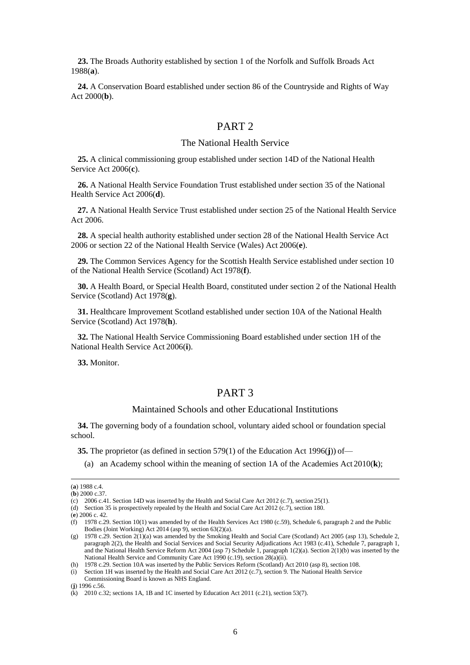**23.** The Broads Authority established by section 1 of the Norfolk and Suffolk Broads Act 1988(**a**).

**24.** A Conservation Board established under section 86 of the Countryside and Rights of Way Act 2000(**b**).

## PART 2

## The National Health Service

**25.** A clinical commissioning group established under section 14D of the National Health Service Act 2006(**c**).

**26.** A National Health Service Foundation Trust established under section 35 of the National Health Service Act 2006(**d**).

**27.** A National Health Service Trust established under section 25 of the National Health Service Act 2006.

**28.** A special health authority established under section 28 of the National Health Service Act 2006 or section 22 of the National Health Service (Wales) Act 2006(**e**).

**29.** The Common Services Agency for the Scottish Health Service established under section 10 of the National Health Service (Scotland) Act 1978(**f**).

**30.** A Health Board, or Special Health Board, constituted under section 2 of the National Health Service (Scotland) Act 1978(**g**).

**31.** Healthcare Improvement Scotland established under section 10A of the National Health Service (Scotland) Act 1978(**h**).

**32.** The National Health Service Commissioning Board established under section 1H of the National Health Service Act 2006(**i**).

**33.** Monitor.

## PART 3

### Maintained Schools and other Educational Institutions

**34.** The governing body of a foundation school, voluntary aided school or foundation special school.

**35.** The proprietor (as defined in section 579(1) of the Education Act 1996(**j**)) of—

(a) an Academy school within the meaning of section 1A of the Academies Act 2010(**k**);

<sup>(</sup>**a**) 1988 c.4. (**b**) 2000 c.37.

<sup>(</sup>c) 2006 c.41. Section 14D was inserted by the Health and Social Care Act 2012 (c.7), section 25(1).

<sup>(</sup>d) Section 35 is prospectively repealed by the Health and Social Care Act 2012 (c.7), section 180.

<sup>(</sup>**e**) 2006 c. 42.

<sup>(</sup>f) 1978 c.29. Section 10(1) was amended by of the Health Services Act 1980 (c.59), Schedule 6, paragraph 2 and the Public Bodies (Joint Working) Act 2014 (asp 9), section 63(2)(a).

<sup>(</sup>g) 1978 c.29. Section  $2(1)(a)$  was amended by the Smoking Health and Social Care (Scotland) Act 2005 (asp 13), Schedule 2, paragraph 2(2), the Health and Social Services and Social Security Adjudications Act 1983 (c.41), Schedule 7, paragraph 1, and the National Health Service Reform Act 2004 (asp 7) Schedule 1, paragraph 1(2)(a). Section 2(1)(b) was inserted by the National Health Service and Community Care Act 1990 (c.19), section 28(a)(ii).

<sup>(</sup>h) 1978 c.29. Section 10A was inserted by the Public Services Reform (Scotland) Act 2010 (asp 8), section 108.

<sup>(</sup>i) Section 1H was inserted by the Health and Social Care Act 2012 (c.7), section 9. The National Health Service Commissioning Board is known as NHS England.

<sup>(</sup>**j**) 1996 c.56.

<sup>(</sup>k) 2010 c.32; sections 1A, 1B and 1C inserted by Education Act 2011 (c.21), section 53(7).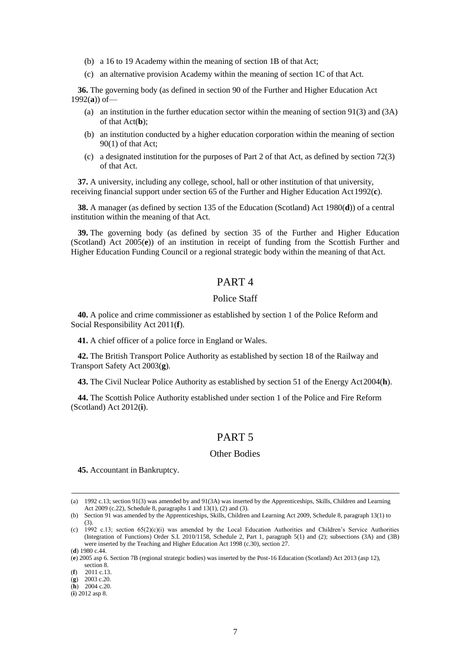- (b) a 16 to 19 Academy within the meaning of section 1B of that Act;
- (c) an alternative provision Academy within the meaning of section 1C of that Act.

**36.** The governing body (as defined in section 90 of the Further and Higher Education Act 1992(**a**)) of—

- (a) an institution in the further education sector within the meaning of section 91(3) and (3A) of that Act(**b**);
- (b) an institution conducted by a higher education corporation within the meaning of section 90(1) of that Act;
- (c) a designated institution for the purposes of Part 2 of that Act, as defined by section 72(3) of that Act.

**37.** A university, including any college, school, hall or other institution of that university, receiving financial support under section 65 of the Further and Higher Education Act1992(**c**).

**38.** A manager (as defined by section 135 of the Education (Scotland) Act 1980(**d**)) of a central institution within the meaning of that Act.

**39.** The governing body (as defined by section 35 of the Further and Higher Education (Scotland) Act 2005(**e**)) of an institution in receipt of funding from the Scottish Further and Higher Education Funding Council or a regional strategic body within the meaning of thatAct.

## PART 4

### Police Staff

**40.** A police and crime commissioner as established by section 1 of the Police Reform and Social Responsibility Act 2011(**f**).

**41.** A chief officer of a police force in England or Wales.

**42.** The British Transport Police Authority as established by section 18 of the Railway and Transport Safety Act 2003(**g**).

**43.** The Civil Nuclear Police Authority as established by section 51 of the Energy Act2004(**h**).

**44.** The Scottish Police Authority established under section 1 of the Police and Fire Reform (Scotland) Act 2012(**i**).

## PART 5

### Other Bodies

**45.** Accountant in Bankruptcy.

<sup>(</sup>a) 1992 c.13; section 91(3) was amended by and 91(3A) was inserted by the Apprenticeships, Skills, Children and Learning Act 2009 (c.22), Schedule 8, paragraphs 1 and 13(1), (2) and (3).

<sup>(</sup>b) Section 91 was amended by the Apprenticeships, Skills, Children and Learning Act 2009, Schedule 8, paragraph 13(1) to (3).

<sup>(</sup>c) 1992 c.13; section 65(2)(c)(i) was amended by the Local Education Authorities and Children's Service Authorities (Integration of Functions) Order S.I. 2010/1158, Schedule 2, Part 1, paragraph 5(1) and (2); subsections (3A) and (3B) were inserted by the Teaching and Higher Education Act 1998 (c.30), section 27.

<sup>(</sup>**d**) 1980 c.44.

<sup>(</sup>**e**) 2005 asp 6. Section 7B (regional strategic bodies) was inserted by the Post-16 Education (Scotland) Act 2013 (asp 12), section 8.

<sup>(</sup>**f**) 2011 c.13.

<sup>(</sup>**g**) 2003 c.20.

<sup>(</sup>**h**) 2004 c.20.

<sup>(</sup>**i**) 2012 asp 8.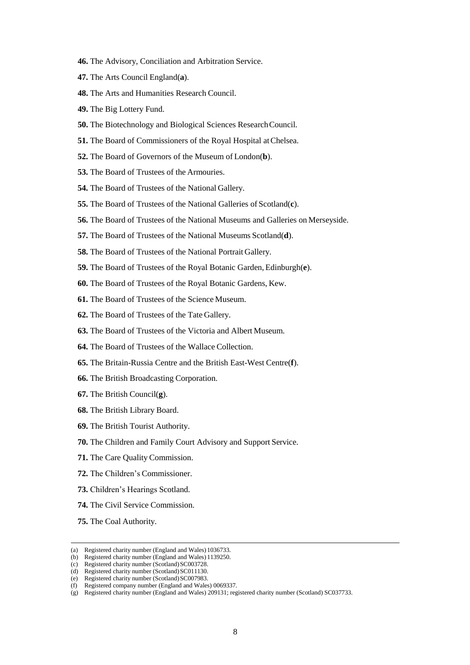- **46.** The Advisory, Conciliation and Arbitration Service.
- **47.** The Arts Council England(**a**).
- **48.** The Arts and Humanities Research Council.
- **49.** The Big Lottery Fund.
- **50.** The Biotechnology and Biological Sciences ResearchCouncil.
- **51.** The Board of Commissioners of the Royal Hospital atChelsea.
- **52.** The Board of Governors of the Museum of London(**b**).
- **53.** The Board of Trustees of the Armouries.
- **54.** The Board of Trustees of the National Gallery.
- **55.** The Board of Trustees of the National Galleries of Scotland(**c**).
- **56.** The Board of Trustees of the National Museums and Galleries on Merseyside.
- **57.** The Board of Trustees of the National Museums Scotland(**d**).
- **58.** The Board of Trustees of the National Portrait Gallery.
- **59.** The Board of Trustees of the Royal Botanic Garden, Edinburgh(**e**).
- **60.** The Board of Trustees of the Royal Botanic Gardens, Kew.
- **61.** The Board of Trustees of the Science Museum.
- **62.** The Board of Trustees of the Tate Gallery.
- **63.** The Board of Trustees of the Victoria and Albert Museum.
- **64.** The Board of Trustees of the Wallace Collection.
- **65.** The Britain-Russia Centre and the British East-West Centre(**f**).
- **66.** The British Broadcasting Corporation.
- **67.** The British Council(**g**).
- **68.** The British Library Board.
- **69.** The British Tourist Authority.
- **70.** The Children and Family Court Advisory and Support Service.
- **71.** The Care Quality Commission.
- **72.** The Children's Commissioner.
- **73.** Children's Hearings Scotland.
- **74.** The Civil Service Commission.
- **75.** The Coal Authority.

<sup>(</sup>a) Registered charity number (England and Wales) 1036733.

<sup>(</sup>b) Registered charity number (England and Wales) 1139250.

<sup>(</sup>c) Registered charity number (Scotland)SC003728.

<sup>(</sup>d) Registered charity number (Scotland) SC011130. (e) Registered charity number (Scotland) SC007983.

<sup>(</sup>f) Registered company number (England and Wales) 0069337.

<sup>(</sup>g) Registered charity number (England and Wales) 209131; registered charity number (Scotland) SC037733.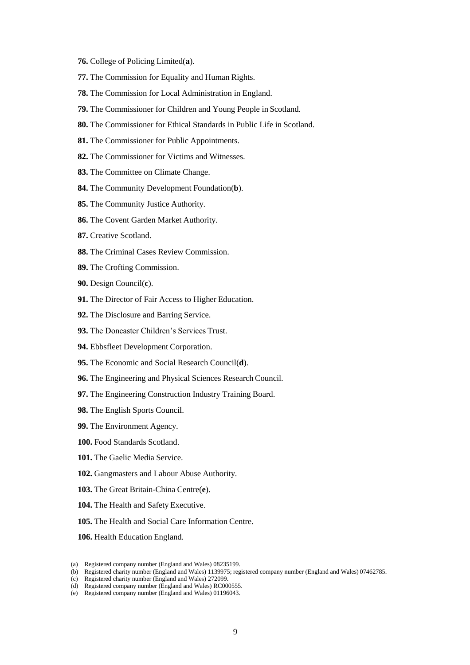- **76.** College of Policing Limited(**a**).
- **77.** The Commission for Equality and Human Rights.
- **78.** The Commission for Local Administration in England.
- **79.** The Commissioner for Children and Young People in Scotland.
- **80.** The Commissioner for Ethical Standards in Public Life in Scotland.
- **81.** The Commissioner for Public Appointments.
- **82.** The Commissioner for Victims and Witnesses.
- **83.** The Committee on Climate Change.
- **84.** The Community Development Foundation(**b**).
- **85.** The Community Justice Authority.
- **86.** The Covent Garden Market Authority.
- **87.** Creative Scotland.
- **88.** The Criminal Cases Review Commission.
- **89.** The Crofting Commission.
- **90.** Design Council(**c**).
- **91.** The Director of Fair Access to Higher Education.
- **92.** The Disclosure and Barring Service.
- **93.** The Doncaster Children's Services Trust.
- **94.** Ebbsfleet Development Corporation.
- **95.** The Economic and Social Research Council(**d**).
- **96.** The Engineering and Physical Sciences Research Council.
- **97.** The Engineering Construction Industry Training Board.
- **98.** The English Sports Council.
- **99.** The Environment Agency.
- **100.** Food Standards Scotland.
- **101.** The Gaelic Media Service.
- **102.** Gangmasters and Labour Abuse Authority.
- **103.** The Great Britain-China Centre(**e**).
- **104.** The Health and Safety Executive.
- **105.** The Health and Social Care Information Centre.
- **106.** Health Education England.

<sup>(</sup>a) Registered company number (England and Wales) 08235199.

<sup>(</sup>b) Registered charity number (England and Wales) 1139975; registered company number (England and Wales) 07462785.

<sup>(</sup>c) Registered charity number (England and Wales) 272099.

<sup>(</sup>d) Registered company number (England and Wales) RC000555.

<sup>(</sup>e) Registered company number (England and Wales) 01196043.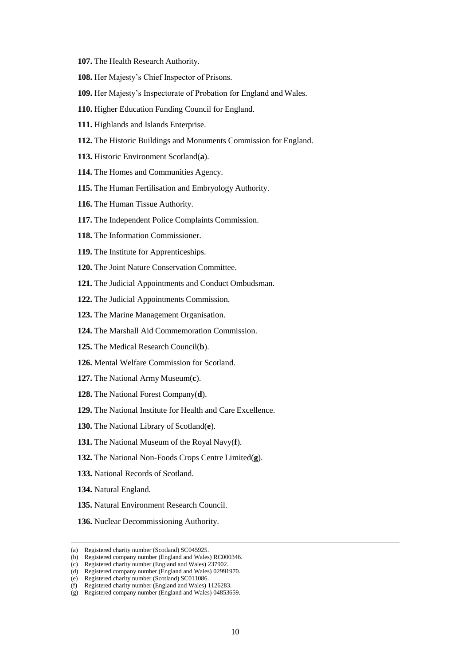- **107.** The Health Research Authority.
- **108.** Her Majesty's Chief Inspector of Prisons.
- **109.** Her Majesty's Inspectorate of Probation for England and Wales.
- **110.** Higher Education Funding Council for England.
- **111.** Highlands and Islands Enterprise.
- **112.** The Historic Buildings and Monuments Commission for England.
- **113.** Historic Environment Scotland(**a**).
- **114.** The Homes and Communities Agency.
- **115.** The Human Fertilisation and Embryology Authority.
- **116.** The Human Tissue Authority.
- **117.** The Independent Police Complaints Commission.
- **118.** The Information Commissioner.
- **119.** The Institute for Apprenticeships.
- **120.** The Joint Nature Conservation Committee.
- **121.** The Judicial Appointments and Conduct Ombudsman.
- **122.** The Judicial Appointments Commission.
- **123.** The Marine Management Organisation.
- **124.** The Marshall Aid Commemoration Commission.
- **125.** The Medical Research Council(**b**).
- **126.** Mental Welfare Commission for Scotland.
- **127.** The National Army Museum(**c**).
- **128.** The National Forest Company(**d**).
- **129.** The National Institute for Health and Care Excellence.
- **130.** The National Library of Scotland(**e**).
- **131.** The National Museum of the Royal Navy(**f**).
- **132.** The National Non-Foods Crops Centre Limited(**g**).
- **133.** National Records of Scotland.
- **134.** Natural England.
- **135.** Natural Environment Research Council.
- **136.** Nuclear Decommissioning Authority.

<sup>(</sup>a) Registered charity number (Scotland) SC045925.

<sup>(</sup>b) Registered company number (England and Wales) RC000346.

<sup>(</sup>c) Registered charity number (England and Wales) 237902.

<sup>(</sup>d) Registered company number (England and Wales) 02991970. (e) Registered charity number (Scotland) SC011086.

<sup>(</sup>f) Registered charity number (England and Wales) 1126283.

<sup>(</sup>g) Registered company number (England and Wales) 04853659.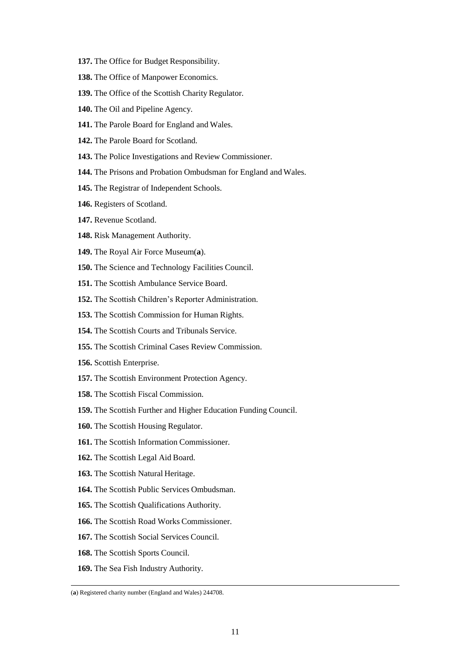- **137.** The Office for Budget Responsibility.
- **138.** The Office of Manpower Economics.
- **139.** The Office of the Scottish Charity Regulator.
- **140.** The Oil and Pipeline Agency.
- **141.** The Parole Board for England and Wales.
- **142.** The Parole Board for Scotland.
- **143.** The Police Investigations and Review Commissioner.
- **144.** The Prisons and Probation Ombudsman for England and Wales.
- **145.** The Registrar of Independent Schools.
- **146.** Registers of Scotland.
- **147.** Revenue Scotland.
- **148.** Risk Management Authority.
- **149.** The Royal Air Force Museum(**a**).
- **150.** The Science and Technology Facilities Council.
- **151.** The Scottish Ambulance Service Board.
- **152.** The Scottish Children's Reporter Administration.
- **153.** The Scottish Commission for Human Rights.
- **154.** The Scottish Courts and Tribunals Service.
- **155.** The Scottish Criminal Cases Review Commission.
- **156.** Scottish Enterprise.
- **157.** The Scottish Environment Protection Agency.
- **158.** The Scottish Fiscal Commission.
- **159.** The Scottish Further and Higher Education Funding Council.
- **160.** The Scottish Housing Regulator.
- **161.** The Scottish Information Commissioner.
- **162.** The Scottish Legal Aid Board.
- **163.** The Scottish Natural Heritage.
- **164.** The Scottish Public Services Ombudsman.
- **165.** The Scottish Qualifications Authority.
- **166.** The Scottish Road Works Commissioner.
- **167.** The Scottish Social Services Council.
- **168.** The Scottish Sports Council.
- **169.** The Sea Fish Industry Authority.

<sup>(</sup>**a**) Registered charity number (England and Wales) 244708.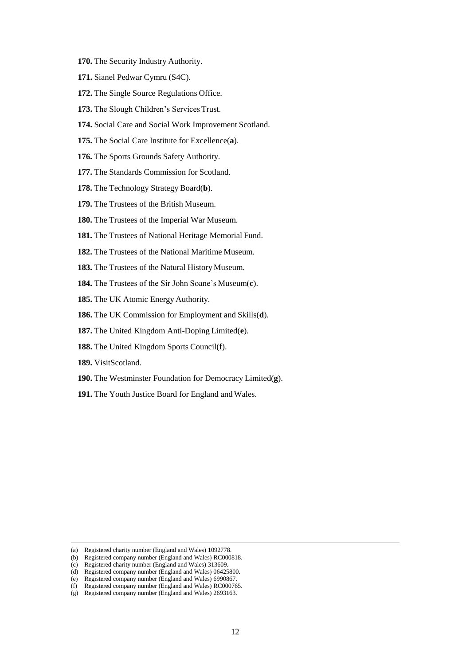- **170.** The Security Industry Authority.
- **171.** Sianel Pedwar Cymru (S4C).
- **172.** The Single Source Regulations Office.
- **173.** The Slough Children's Services Trust.
- **174.** Social Care and Social Work Improvement Scotland.
- **175.** The Social Care Institute for Excellence(**a**).
- **176.** The Sports Grounds Safety Authority.
- **177.** The Standards Commission for Scotland.
- **178.** The Technology Strategy Board(**b**).
- **179.** The Trustees of the British Museum.
- **180.** The Trustees of the Imperial War Museum.
- **181.** The Trustees of National Heritage Memorial Fund.
- **182.** The Trustees of the National Maritime Museum.
- 183. The Trustees of the Natural History Museum.
- **184.** The Trustees of the Sir John Soane's Museum(**c**).
- **185.** The UK Atomic Energy Authority.
- **186.** The UK Commission for Employment and Skills(**d**).
- **187.** The United Kingdom Anti-Doping Limited(**e**).
- **188.** The United Kingdom Sports Council(**f**).
- **189.** VisitScotland.
- **190.** The Westminster Foundation for Democracy Limited(**g**).
- **191.** The Youth Justice Board for England and Wales.

<sup>(</sup>a) Registered charity number (England and Wales) 1092778.

<sup>(</sup>b) Registered company number (England and Wales) RC000818.

<sup>(</sup>c) Registered charity number (England and Wales) 313609.

<sup>(</sup>d) Registered company number (England and Wales) 06425800.

<sup>(</sup>e) Registered company number (England and Wales) 6990867.

<sup>(</sup>f) Registered company number (England and Wales) RC000765.

<sup>(</sup>g) Registered company number (England and Wales) 2693163.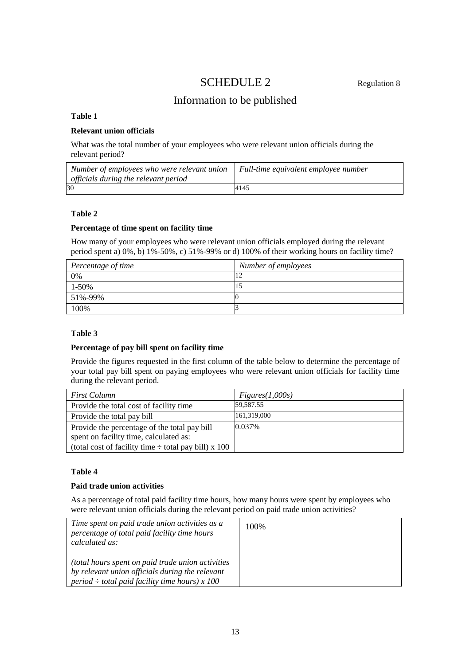# SCHEDULE 2 Regulation 8

# Information to be published

### **Table 1**

### **Relevant union officials**

What was the total number of your employees who were relevant union officials during the relevant period?

| Number of employees who were relevant union | Full-time equivalent employee number |
|---------------------------------------------|--------------------------------------|
| officials during the relevant period        |                                      |
| 30                                          | 4145                                 |

### **Table 2**

### **Percentage of time spent on facility time**

How many of your employees who were relevant union officials employed during the relevant period spent a) 0%, b) 1%-50%, c) 51%-99% or d) 100% of their working hours on facility time?

| Percentage of time | Number of employees |
|--------------------|---------------------|
| 0%                 |                     |
| $1 - 50\%$         |                     |
| 51%-99%            |                     |
| 100%               |                     |

### **Table 3**

### **Percentage of pay bill spent on facility time**

Provide the figures requested in the first column of the table below to determine the percentage of your total pay bill spent on paying employees who were relevant union officials for facility time during the relevant period.

| <i>First Column</i>                                       | Figures(1,000s) |
|-----------------------------------------------------------|-----------------|
| Provide the total cost of facility time                   | 59,587.55       |
| Provide the total pay bill                                | 161,319,000     |
| Provide the percentage of the total pay bill              | 0.037%          |
| spent on facility time, calculated as:                    |                 |
| (total cost of facility time $\div$ total pay bill) x 100 |                 |

### **Table 4**

### **Paid trade union activities**

As a percentage of total paid facility time hours, how many hours were spent by employees who were relevant union officials during the relevant period on paid trade union activities?

| Time spent on paid trade union activities as a<br>percentage of total paid facility time hours<br>calculated as:                                             | 100% |
|--------------------------------------------------------------------------------------------------------------------------------------------------------------|------|
| (total hours spent on paid trade union activities)<br>by relevant union officials during the relevant<br>period $\div$ total paid facility time hours) x 100 |      |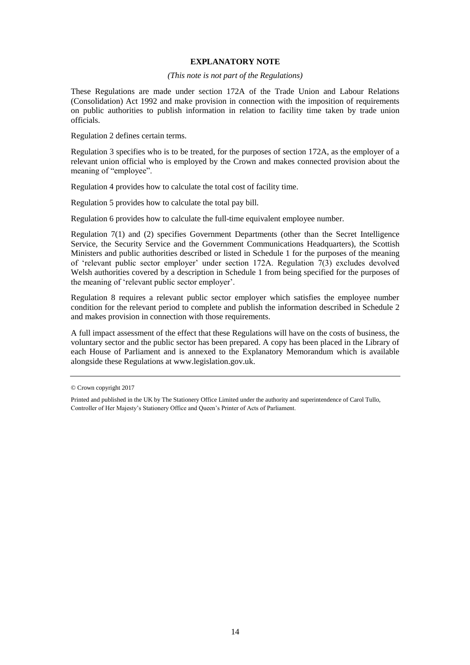### **EXPLANATORY NOTE**

#### *(This note is not part of the Regulations)*

These Regulations are made under section 172A of the Trade Union and Labour Relations (Consolidation) Act 1992 and make provision in connection with the imposition of requirements on public authorities to publish information in relation to facility time taken by trade union officials.

Regulation 2 defines certain terms.

Regulation 3 specifies who is to be treated, for the purposes of section 172A, as the employer of a relevant union official who is employed by the Crown and makes connected provision about the meaning of "employee".

Regulation 4 provides how to calculate the total cost of facility time.

Regulation 5 provides how to calculate the total pay bill.

Regulation 6 provides how to calculate the full-time equivalent employee number.

Regulation 7(1) and (2) specifies Government Departments (other than the Secret Intelligence Service, the Security Service and the Government Communications Headquarters), the Scottish Ministers and public authorities described or listed in Schedule 1 for the purposes of the meaning of 'relevant public sector employer' under section 172A. Regulation 7(3) excludes devolved Welsh authorities covered by a description in Schedule 1 from being specified for the purposes of the meaning of 'relevant public sector employer'.

Regulation 8 requires a relevant public sector employer which satisfies the employee number condition for the relevant period to complete and publish the information described in Schedule 2 and makes provision in connection with those requirements.

A full impact assessment of the effect that these Regulations will have on the costs of business, the voluntary sector and the public sector has been prepared. A copy has been placed in the Library of each House of Parliament and is annexed to the Explanatory Memorandum which is available alongside these Regulations at [www.legislation.gov.uk.](http://www.legislation.gov.uk/)

<sup>©</sup> Crown copyright 2017

Printed and published in the UK by The Stationery Office Limited under the authority and superintendence of Carol Tullo, Controller of Her Majesty's Stationery Office and Queen's Printer of Acts of Parliament.